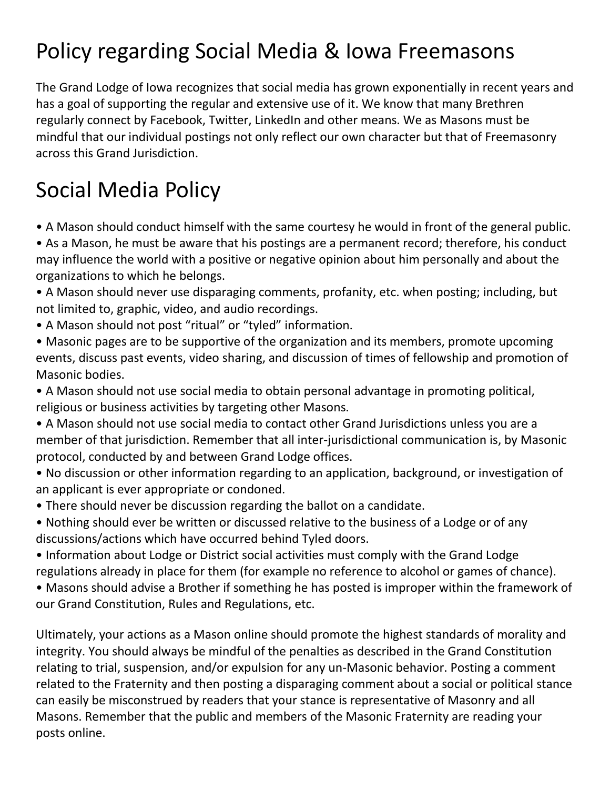## Policy regarding Social Media & Iowa Freemasons

The Grand Lodge of Iowa recognizes that social media has grown exponentially in recent years and has a goal of supporting the regular and extensive use of it. We know that many Brethren regularly connect by Facebook, Twitter, LinkedIn and other means. We as Masons must be mindful that our individual postings not only reflect our own character but that of Freemasonry across this Grand Jurisdiction.

## Social Media Policy

- A Mason should conduct himself with the same courtesy he would in front of the general public.
- As a Mason, he must be aware that his postings are a permanent record; therefore, his conduct may influence the world with a positive or negative opinion about him personally and about the organizations to which he belongs.
- A Mason should never use disparaging comments, profanity, etc. when posting; including, but not limited to, graphic, video, and audio recordings.
- A Mason should not post "ritual" or "tyled" information.
- Masonic pages are to be supportive of the organization and its members, promote upcoming events, discuss past events, video sharing, and discussion of times of fellowship and promotion of Masonic bodies.
- A Mason should not use social media to obtain personal advantage in promoting political, religious or business activities by targeting other Masons.
- A Mason should not use social media to contact other Grand Jurisdictions unless you are a member of that jurisdiction. Remember that all inter-jurisdictional communication is, by Masonic protocol, conducted by and between Grand Lodge offices.
- No discussion or other information regarding to an application, background, or investigation of an applicant is ever appropriate or condoned.
- There should never be discussion regarding the ballot on a candidate.
- Nothing should ever be written or discussed relative to the business of a Lodge or of any discussions/actions which have occurred behind Tyled doors.
- Information about Lodge or District social activities must comply with the Grand Lodge regulations already in place for them (for example no reference to alcohol or games of chance).
- Masons should advise a Brother if something he has posted is improper within the framework of our Grand Constitution, Rules and Regulations, etc.

Ultimately, your actions as a Mason online should promote the highest standards of morality and integrity. You should always be mindful of the penalties as described in the Grand Constitution relating to trial, suspension, and/or expulsion for any un-Masonic behavior. Posting a comment related to the Fraternity and then posting a disparaging comment about a social or political stance can easily be misconstrued by readers that your stance is representative of Masonry and all Masons. Remember that the public and members of the Masonic Fraternity are reading your posts online.